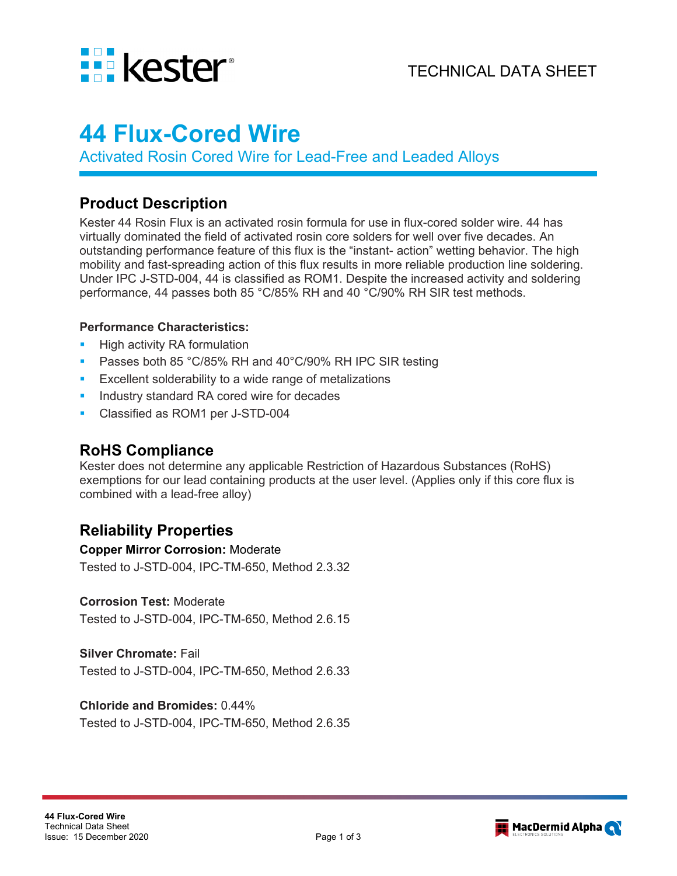

# **44 Flux-Cored Wire**

Activated Rosin Cored Wire for Lead-Free and Leaded Alloys

### **Product Description**

Kester 44 Rosin Flux is an activated rosin formula for use in flux-cored solder wire. 44 has virtually dominated the field of activated rosin core solders for well over five decades. An outstanding performance feature of this flux is the "instant- action" wetting behavior. The high mobility and fast-spreading action of this flux results in more reliable production line soldering. Under IPC J-STD-004, 44 is classified as ROM1. Despite the increased activity and soldering performance, 44 passes both 85 °C/85% RH and 40 °C/90% RH SIR test methods.

#### **Performance Characteristics:**

- High activity RA formulation
- **Passes both 85 °C/85% RH and 40°C/90% RH IPC SIR testing**
- **Excellent solderability to a wide range of metalizations**
- Industry standard RA cored wire for decades
- Classified as ROM1 per J-STD-004

# **RoHS Compliance**

Kester does not determine any applicable Restriction of Hazardous Substances (RoHS) exemptions for our lead containing products at the user level. (Applies only if this core flux is combined with a lead-free alloy)

# **Reliability Properties**

#### **Copper Mirror Corrosion:** Moderate

Tested to J-STD-004, IPC-TM-650, Method 2.3.32

#### **Corrosion Test:** Moderate

Tested to J-STD-004, IPC-TM-650, Method 2.6.15

### **Silver Chromate:** Fail

Tested to J-STD-004, IPC-TM-650, Method 2.6.33

#### **Chloride and Bromides:** 0.44%

Tested to J-STD-004, IPC-TM-650, Method 2.6.35

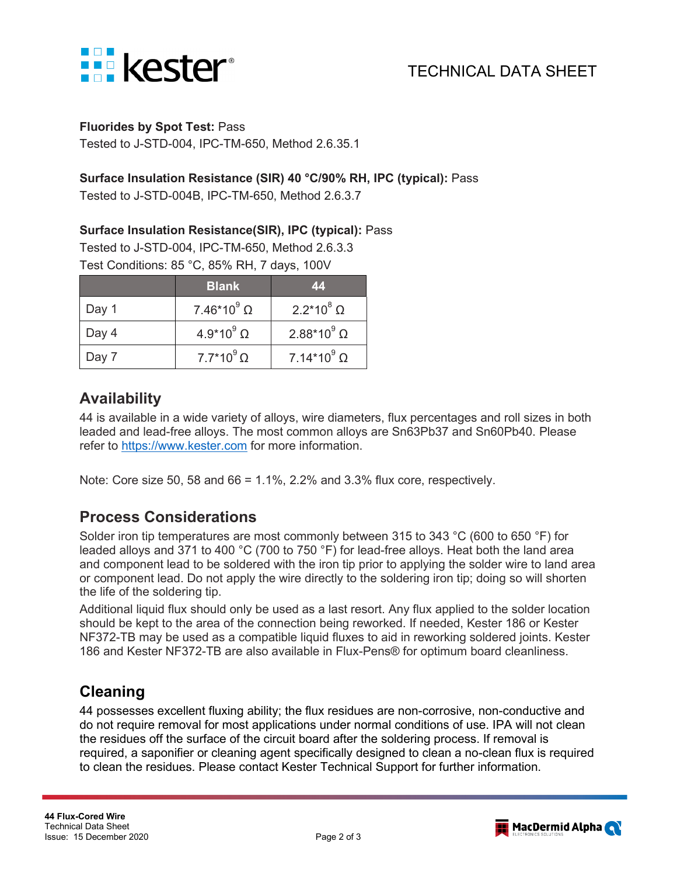

#### **Fluorides by Spot Test:** Pass

Tested to J-STD-004, IPC-TM-650, Method 2.6.35.1

#### **Surface Insulation Resistance (SIR) 40 °C/90% RH, IPC (typical):** Pass

Tested to J-STD-004B, IPC-TM-650, Method 2.6.3.7

#### **Surface Insulation Resistance(SIR), IPC (typical):** Pass

Tested to J-STD-004, IPC-TM-650, Method 2.6.3.3 Test Conditions: 85 °C, 85% RH, 7 days, 100V

|       | <b>Blank</b>         | 44                  |
|-------|----------------------|---------------------|
| Day 1 | $7.46*10^9$ $\Omega$ | $2.2*10^8$ $\Omega$ |
| Day 4 | $4.9*10^9$ $\Omega$  | 2.88*10 $^{9}$ Ω    |
| Day 7 | $7.7*10^9$ $\Omega$  | 7.14*10 $^9$ Ω      |

### **Availability**

44 is available in a wide variety of alloys, wire diameters, flux percentages and roll sizes in both leaded and lead-free alloys. The most common alloys are Sn63Pb37 and Sn60Pb40. Please refer to [https://www.kester.com](https://www.kester.com/) for more information.

Note: Core size 50, 58 and 66 = 1.1%, 2.2% and 3.3% flux core, respectively.

### **Process Considerations**

Solder iron tip temperatures are most commonly between 315 to 343 °C (600 to 650 °F) for leaded alloys and 371 to 400 °C (700 to 750 °F) for lead-free alloys. Heat both the land area and component lead to be soldered with the iron tip prior to applying the solder wire to land area or component lead. Do not apply the wire directly to the soldering iron tip; doing so will shorten the life of the soldering tip.

Additional liquid flux should only be used as a last resort. Any flux applied to the solder location should be kept to the area of the connection being reworked. If needed, Kester 186 or Kester NF372-TB may be used as a compatible liquid fluxes to aid in reworking soldered joints. Kester 186 and Kester NF372-TB are also available in Flux-Pens® for optimum board cleanliness.

# **Cleaning**

44 possesses excellent fluxing ability; the flux residues are non-corrosive, non-conductive and do not require removal for most applications under normal conditions of use. IPA will not clean the residues off the surface of the circuit board after the soldering process. If removal is required, a saponifier or cleaning agent specifically designed to clean a no-clean flux is required to clean the residues. Please contact Kester Technical Support for further information.